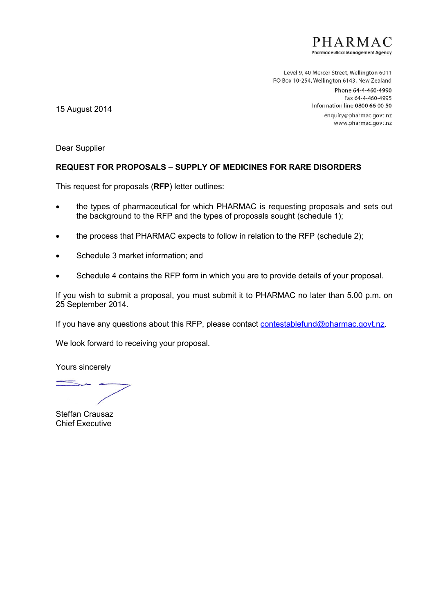PHARMA<sub>(</sub> **Pharmaceutical Management Agency** 

Level 9, 40 Mercer Street, Wellington 6011 PO Box 10-254, Wellington 6143, New Zealand

> Phone 64-4-460-4990 Fax 64-4-460-4995 Information line 0800 66 00 50

enquiry@pharmac.govt.nz www.pharmac.govt.nz

15 August 2014

Dear Supplier

# **REQUEST FOR PROPOSALS – SUPPLY OF MEDICINES FOR RARE DISORDERS**

This request for proposals (**RFP**) letter outlines:

- the types of pharmaceutical for which PHARMAC is requesting proposals and sets out the background to the RFP and the types of proposals sought (schedule 1);
- the process that PHARMAC expects to follow in relation to the RFP (schedule 2);
- Schedule 3 market information; and
- Schedule 4 contains the RFP form in which you are to provide details of your proposal.

If you wish to submit a proposal, you must submit it to PHARMAC no later than 5.00 p.m. on 25 September 2014.

If you have any questions about this RFP, please contact contestablefund@pharmac.govt.nz.

We look forward to receiving your proposal.

Yours sincerely

Steffan Crausaz Chief Executive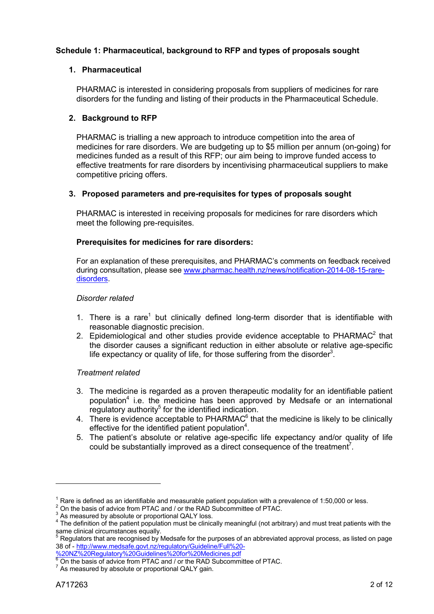# **Schedule 1: Pharmaceutical, background to RFP and types of proposals sought**

# **1. Pharmaceutical**

PHARMAC is interested in considering proposals from suppliers of medicines for rare disorders for the funding and listing of their products in the Pharmaceutical Schedule.

# **2. Background to RFP**

PHARMAC is trialling a new approach to introduce competition into the area of medicines for rare disorders. We are budgeting up to \$5 million per annum (on-going) for medicines funded as a result of this RFP; our aim being to improve funded access to effective treatments for rare disorders by incentivising pharmaceutical suppliers to make competitive pricing offers.

# **3. Proposed parameters and pre-requisites for types of proposals sought**

PHARMAC is interested in receiving proposals for medicines for rare disorders which meet the following pre-requisites.

# **Prerequisites for medicines for rare disorders:**

For an explanation of these prerequisites, and PHARMAC's comments on feedback received during consultation, please see www.pharmac.health.nz/news/notification-2014-08-15-raredisorders.

## *Disorder related*

- 1. There is a rare<sup>1</sup> but clinically defined long-term disorder that is identifiable with reasonable diagnostic precision.
- 2. Epidemiological and other studies provide evidence acceptable to PHARMAC $2$  that the disorder causes a significant reduction in either absolute or relative age-specific life expectancy or quality of life, for those suffering from the disorder<sup>3</sup>.

## *Treatment related*

- 3. The medicine is regarded as a proven therapeutic modality for an identifiable patient population<sup>4</sup> i.e. the medicine has been approved by Medsafe or an international regulatory authority $5$  for the identified indication.
- 4. There is evidence acceptable to PHARMAC $<sup>6</sup>$  that the medicine is likely to be clinically</sup> effective for the identified patient population $4$ .
- 5. The patient's absolute or relative age-specific life expectancy and/or quality of life could be substantially improved as a direct consequence of the treatment<sup>7</sup>.

-

 $1$  Rare is defined as an identifiable and measurable patient population with a prevalence of 1:50,000 or less.

<sup>&</sup>lt;sup>2</sup> On the basis of advice from PTAC and / or the RAD Subcommittee of PTAC.

<sup>&</sup>lt;sup>3</sup> As measured by absolute or proportional QALY loss.

<sup>&</sup>lt;sup>4</sup> The definition of the patient population must be clinically meaningful (not arbitrary) and must treat patients with the same clinical circumstances equally.

<sup>5</sup> Regulators that are recognised by Medsafe for the purposes of an abbreviated approval process, as listed on page 38 of - http://www.medsafe.govt.nz/regulatory/Guideline/Full%20-

<sup>%20</sup>NZ%20Regulatory%20Guidelines%20for%20Medicines.pdf **6** On the basis of advice from PTAC and / or the RAD Subcommittee of PTAC.

 $7$  As measured by absolute or proportional QALY gain.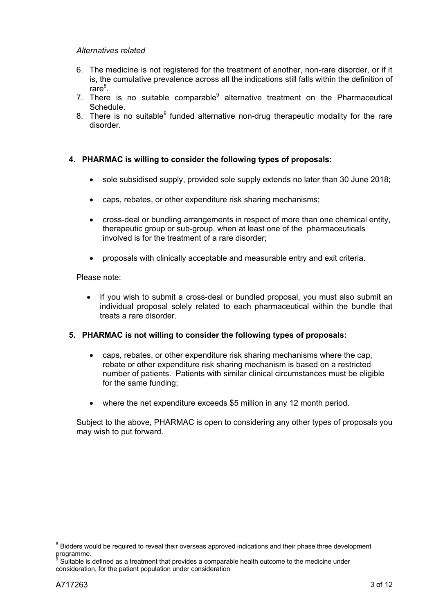## *Alternatives related*

- 6. The medicine is not registered for the treatment of another, non-rare disorder, or if it is, the cumulative prevalence across all the indications still falls within the definition of rare<sup>8</sup>.
- 7. There is no suitable comparable<sup>9</sup> alternative treatment on the Pharmaceutical Schedule.
- 8. There is no suitable<sup>9</sup> funded alternative non-drug therapeutic modality for the rare disorder.

# **4. PHARMAC is willing to consider the following types of proposals:**

- sole subsidised supply, provided sole supply extends no later than 30 June 2018;
- caps, rebates, or other expenditure risk sharing mechanisms;
- cross-deal or bundling arrangements in respect of more than one chemical entity, therapeutic group or sub-group, when at least one of the pharmaceuticals involved is for the treatment of a rare disorder;
- proposals with clinically acceptable and measurable entry and exit criteria.

Please note:

 If you wish to submit a cross-deal or bundled proposal, you must also submit an individual proposal solely related to each pharmaceutical within the bundle that treats a rare disorder.

## **5. PHARMAC is not willing to consider the following types of proposals:**

- caps, rebates, or other expenditure risk sharing mechanisms where the cap, rebate or other expenditure risk sharing mechanism is based on a restricted number of patients. Patients with similar clinical circumstances must be eligible for the same funding;
- where the net expenditure exceeds \$5 million in any 12 month period.

Subject to the above, PHARMAC is open to considering any other types of proposals you may wish to put forward.

-

<sup>&</sup>lt;sup>8</sup> Bidders would be required to reveal their overseas approved indications and their phase three development programme.

Suitable is defined as a treatment that provides a comparable health outcome to the medicine under consideration, for the patient population under consideration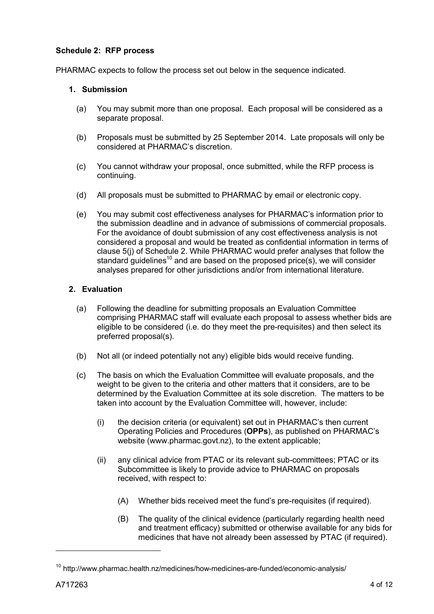# **Schedule 2: RFP process**

PHARMAC expects to follow the process set out below in the sequence indicated.

### **1. Submission**

- (a) You may submit more than one proposal. Each proposal will be considered as a separate proposal.
- (b) Proposals must be submitted by 25 September 2014. Late proposals will only be considered at PHARMAC's discretion.
- (c) You cannot withdraw your proposal, once submitted, while the RFP process is continuing.
- (d) All proposals must be submitted to PHARMAC by email or electronic copy.
- (e) You may submit cost effectiveness analyses for PHARMAC's information prior to the submission deadline and in advance of submissions of commercial proposals. For the avoidance of doubt submission of any cost effectiveness analysis is not considered a proposal and would be treated as confidential information in terms of clause 5(j) of Schedule 2. While PHARMAC would prefer analyses that follow the standard quidelines<sup>10</sup> and are based on the proposed price(s), we will consider analyses prepared for other jurisdictions and/or from international literature.

## **2. Evaluation**

- (a) Following the deadline for submitting proposals an Evaluation Committee comprising PHARMAC staff will evaluate each proposal to assess whether bids are eligible to be considered (i.e. do they meet the pre-requisites) and then select its preferred proposal(s).
- (b) Not all (or indeed potentially not any) eligible bids would receive funding.
- (c) The basis on which the Evaluation Committee will evaluate proposals, and the weight to be given to the criteria and other matters that it considers, are to be determined by the Evaluation Committee at its sole discretion. The matters to be taken into account by the Evaluation Committee will, however, include:
	- (i) the decision criteria (or equivalent) set out in PHARMAC's then current Operating Policies and Procedures (**OPPs**), as published on PHARMAC's website (www.pharmac.govt.nz), to the extent applicable;
	- (ii) any clinical advice from PTAC or its relevant sub-committees; PTAC or its Subcommittee is likely to provide advice to PHARMAC on proposals received, with respect to:
		- (A) Whether bids received meet the fund's pre-requisites (if required).
		- (B) The quality of the clinical evidence (particularly regarding health need and treatment efficacy) submitted or otherwise available for any bids for medicines that have not already been assessed by PTAC (if required).

-

<sup>&</sup>lt;sup>10</sup> http://www.pharmac.health.nz/medicines/how-medicines-are-funded/economic-analysis/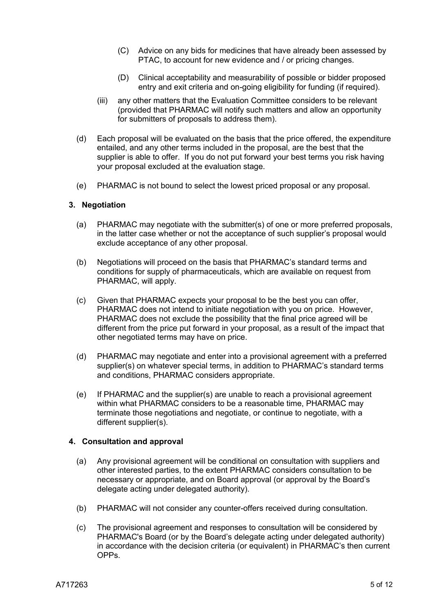- (C) Advice on any bids for medicines that have already been assessed by PTAC, to account for new evidence and / or pricing changes.
- (D) Clinical acceptability and measurability of possible or bidder proposed entry and exit criteria and on-going eligibility for funding (if required).
- (iii) any other matters that the Evaluation Committee considers to be relevant (provided that PHARMAC will notify such matters and allow an opportunity for submitters of proposals to address them).
- (d) Each proposal will be evaluated on the basis that the price offered, the expenditure entailed, and any other terms included in the proposal, are the best that the supplier is able to offer. If you do not put forward your best terms you risk having your proposal excluded at the evaluation stage.
- (e) PHARMAC is not bound to select the lowest priced proposal or any proposal.

#### **3. Negotiation**

- (a) PHARMAC may negotiate with the submitter(s) of one or more preferred proposals, in the latter case whether or not the acceptance of such supplier's proposal would exclude acceptance of any other proposal.
- (b) Negotiations will proceed on the basis that PHARMAC's standard terms and conditions for supply of pharmaceuticals, which are available on request from PHARMAC, will apply.
- (c) Given that PHARMAC expects your proposal to be the best you can offer, PHARMAC does not intend to initiate negotiation with you on price. However, PHARMAC does not exclude the possibility that the final price agreed will be different from the price put forward in your proposal, as a result of the impact that other negotiated terms may have on price.
- (d) PHARMAC may negotiate and enter into a provisional agreement with a preferred supplier(s) on whatever special terms, in addition to PHARMAC's standard terms and conditions, PHARMAC considers appropriate.
- (e) If PHARMAC and the supplier(s) are unable to reach a provisional agreement within what PHARMAC considers to be a reasonable time, PHARMAC may terminate those negotiations and negotiate, or continue to negotiate, with a different supplier(s).

#### **4. Consultation and approval**

- (a) Any provisional agreement will be conditional on consultation with suppliers and other interested parties, to the extent PHARMAC considers consultation to be necessary or appropriate, and on Board approval (or approval by the Board's delegate acting under delegated authority).
- (b) PHARMAC will not consider any counter-offers received during consultation.
- (c) The provisional agreement and responses to consultation will be considered by PHARMAC's Board (or by the Board's delegate acting under delegated authority) in accordance with the decision criteria (or equivalent) in PHARMAC's then current OPPs.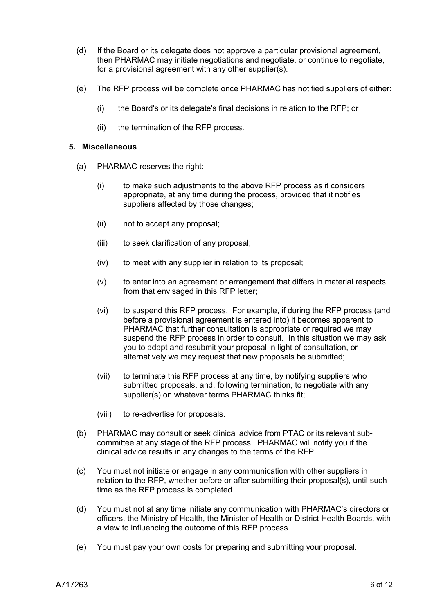- (d) If the Board or its delegate does not approve a particular provisional agreement, then PHARMAC may initiate negotiations and negotiate, or continue to negotiate, for a provisional agreement with any other supplier(s).
- (e) The RFP process will be complete once PHARMAC has notified suppliers of either:
	- (i) the Board's or its delegate's final decisions in relation to the RFP; or
	- (ii) the termination of the RFP process.

#### **5. Miscellaneous**

- (a) PHARMAC reserves the right:
	- (i) to make such adjustments to the above RFP process as it considers appropriate, at any time during the process, provided that it notifies suppliers affected by those changes:
	- (ii) not to accept any proposal;
	- (iii) to seek clarification of any proposal;
	- (iv) to meet with any supplier in relation to its proposal;
	- (v) to enter into an agreement or arrangement that differs in material respects from that envisaged in this RFP letter;
	- (vi) to suspend this RFP process. For example, if during the RFP process (and before a provisional agreement is entered into) it becomes apparent to PHARMAC that further consultation is appropriate or required we may suspend the RFP process in order to consult. In this situation we may ask you to adapt and resubmit your proposal in light of consultation, or alternatively we may request that new proposals be submitted;
	- (vii) to terminate this RFP process at any time, by notifying suppliers who submitted proposals, and, following termination, to negotiate with any supplier(s) on whatever terms PHARMAC thinks fit;
	- (viii) to re-advertise for proposals.
- (b) PHARMAC may consult or seek clinical advice from PTAC or its relevant subcommittee at any stage of the RFP process. PHARMAC will notify you if the clinical advice results in any changes to the terms of the RFP.
- (c) You must not initiate or engage in any communication with other suppliers in relation to the RFP, whether before or after submitting their proposal(s), until such time as the RFP process is completed.
- (d) You must not at any time initiate any communication with PHARMAC's directors or officers, the Ministry of Health, the Minister of Health or District Health Boards, with a view to influencing the outcome of this RFP process.
- (e) You must pay your own costs for preparing and submitting your proposal.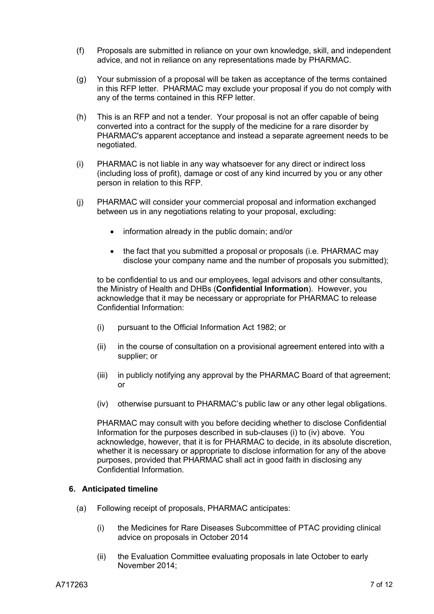- (f) Proposals are submitted in reliance on your own knowledge, skill, and independent advice, and not in reliance on any representations made by PHARMAC.
- (g) Your submission of a proposal will be taken as acceptance of the terms contained in this RFP letter. PHARMAC may exclude your proposal if you do not comply with any of the terms contained in this RFP letter.
- (h) This is an RFP and not a tender. Your proposal is not an offer capable of being converted into a contract for the supply of the medicine for a rare disorder by PHARMAC's apparent acceptance and instead a separate agreement needs to be negotiated.
- (i) PHARMAC is not liable in any way whatsoever for any direct or indirect loss (including loss of profit), damage or cost of any kind incurred by you or any other person in relation to this RFP.
- (j) PHARMAC will consider your commercial proposal and information exchanged between us in any negotiations relating to your proposal, excluding:
	- information already in the public domain; and/or
	- the fact that you submitted a proposal or proposals (i.e. PHARMAC may disclose your company name and the number of proposals you submitted);

to be confidential to us and our employees, legal advisors and other consultants, the Ministry of Health and DHBs (**Confidential Information**). However, you acknowledge that it may be necessary or appropriate for PHARMAC to release Confidential Information:

- (i) pursuant to the Official Information Act 1982; or
- (ii) in the course of consultation on a provisional agreement entered into with a supplier; or
- (iii) in publicly notifying any approval by the PHARMAC Board of that agreement; or
- (iv) otherwise pursuant to PHARMAC's public law or any other legal obligations.

PHARMAC may consult with you before deciding whether to disclose Confidential Information for the purposes described in sub-clauses (i) to (iv) above. You acknowledge, however, that it is for PHARMAC to decide, in its absolute discretion, whether it is necessary or appropriate to disclose information for any of the above purposes, provided that PHARMAC shall act in good faith in disclosing any Confidential Information.

## **6. Anticipated timeline**

- (a) Following receipt of proposals, PHARMAC anticipates:
	- (i) the Medicines for Rare Diseases Subcommittee of PTAC providing clinical advice on proposals in October 2014
	- (ii) the Evaluation Committee evaluating proposals in late October to early November 2014;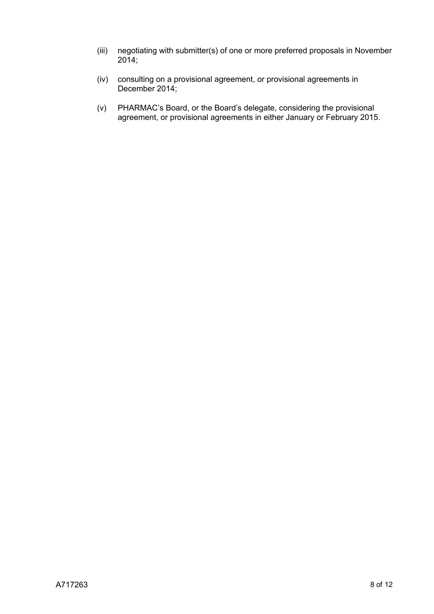- (iii) negotiating with submitter(s) of one or more preferred proposals in November 2014;
- (iv) consulting on a provisional agreement, or provisional agreements in December 2014;
- (v) PHARMAC's Board, or the Board's delegate, considering the provisional agreement, or provisional agreements in either January or February 2015.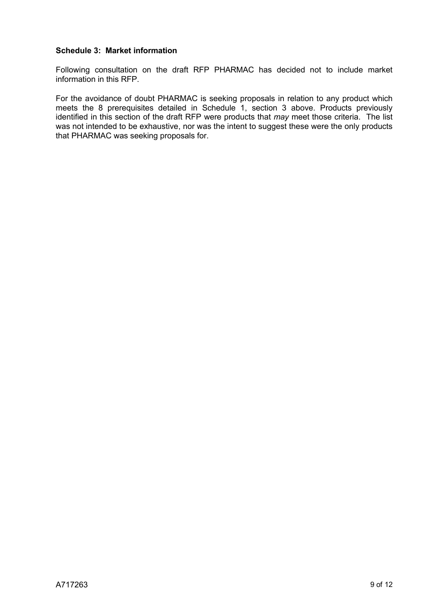# **Schedule 3: Market information**

Following consultation on the draft RFP PHARMAC has decided not to include market information in this RFP.

For the avoidance of doubt PHARMAC is seeking proposals in relation to any product which meets the 8 prerequisites detailed in Schedule 1, section 3 above. Products previously identified in this section of the draft RFP were products that *may* meet those criteria. The list was not intended to be exhaustive, nor was the intent to suggest these were the only products that PHARMAC was seeking proposals for.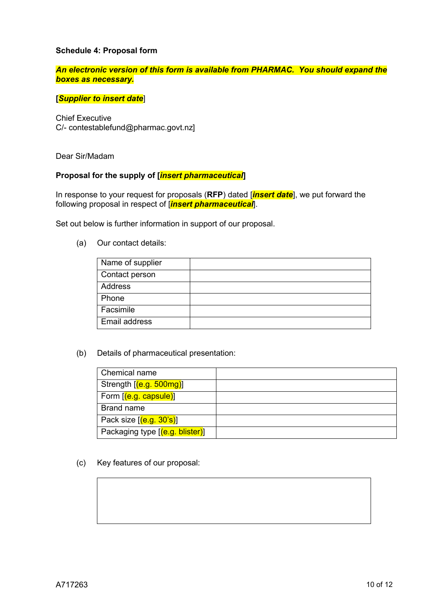## **Schedule 4: Proposal form**

## *An electronic version of this form is available from PHARMAC. You should expand the boxes as necessary.*

### **[***Supplier to insert date*]

Chief Executive C/- contestablefund@pharmac.govt.nz]

Dear Sir/Madam

### **Proposal for the supply of [***insert pharmaceutical***]**

In response to your request for proposals (**RFP**) dated [*insert date*], we put forward the following proposal in respect of [*insert pharmaceutical*].

Set out below is further information in support of our proposal.

(a) Our contact details:

| Name of supplier |  |
|------------------|--|
| Contact person   |  |
| Address          |  |
| Phone            |  |
| Facsimile        |  |
| Email address    |  |

(b) Details of pharmaceutical presentation:

| Chemical name                   |  |
|---------------------------------|--|
| Strength [(e.g. 500mg)]         |  |
| Form [(e.g. capsule)]           |  |
| Brand name                      |  |
| Pack size $[(e.g. 30's)]$       |  |
| Packaging type [(e.g. blister)] |  |

(c) Key features of our proposal: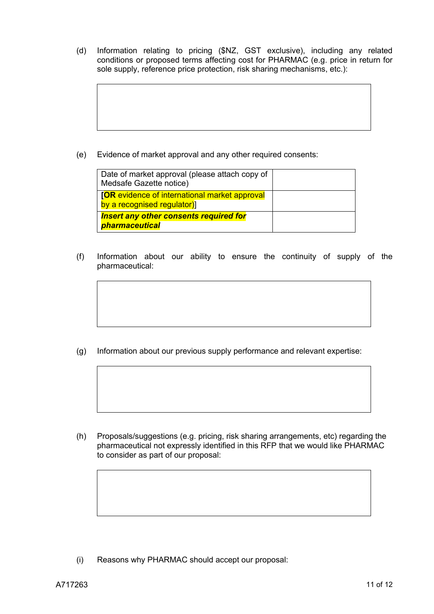(d) Information relating to pricing (\$NZ, GST exclusive), including any related conditions or proposed terms affecting cost for PHARMAC (e.g. price in return for sole supply, reference price protection, risk sharing mechanisms, etc.):

(e) Evidence of market approval and any other required consents:

| Date of market approval (please attach copy of<br>Medsafe Gazette notice)          |  |
|------------------------------------------------------------------------------------|--|
| <b>[OR</b> evidence of international market approval<br>by a recognised regulator) |  |
| <b>Insert any other consents required for</b><br>pharmaceutical                    |  |

(f) Information about our ability to ensure the continuity of supply of the pharmaceutical:

(g) Information about our previous supply performance and relevant expertise:

(h) Proposals/suggestions (e.g. pricing, risk sharing arrangements, etc) regarding the pharmaceutical not expressly identified in this RFP that we would like PHARMAC to consider as part of our proposal:

(i) Reasons why PHARMAC should accept our proposal: